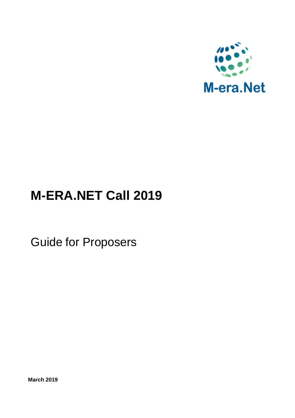

# **M-ERA.NET Call 2019**

Guide for Proposers

**March 2019**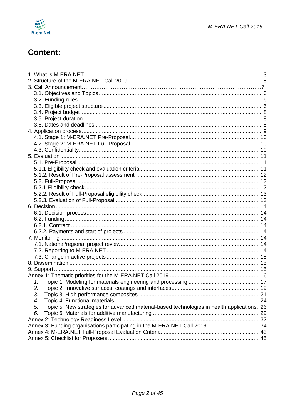

# **Content:**

| 1.                                                                                               |  |
|--------------------------------------------------------------------------------------------------|--|
| 2.                                                                                               |  |
| 3. Topic 3: High performance composites                                                          |  |
| 4.                                                                                               |  |
| Topic 5: New strategies for advanced material-based technologies in health applications 26<br>5. |  |
| 6.                                                                                               |  |
|                                                                                                  |  |
| Annex 3: Funding organisations participating in the M-ERA.NET Call 2019 34                       |  |
|                                                                                                  |  |
|                                                                                                  |  |
|                                                                                                  |  |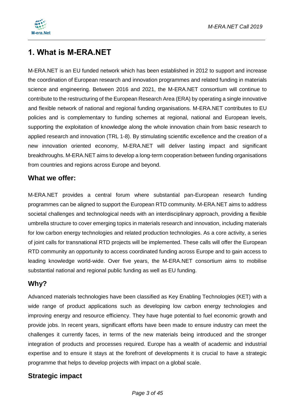

# <span id="page-2-0"></span>**1. What is M-ERA.NET**

M-ERA.NET is an EU funded network which has been established in 2012 to support and increase the coordination of European research and innovation programmes and related funding in materials science and engineering. Between 2016 and 2021, the M-ERA.NET consortium will continue to contribute to the restructuring of the European Research Area (ERA) by operating a single innovative and flexible network of national and regional funding organisations. M-ERA.NET contributes to EU policies and is complementary to funding schemes at regional, national and European levels, supporting the exploitation of knowledge along the whole innovation chain from basic research to applied research and innovation (TRL 1-8). By stimulating scientific excellence and the creation of a new innovation oriented economy, M-ERA.NET will deliver lasting impact and significant breakthroughs. M-ERA.NET aims to develop a long-term cooperation between funding organisations from countries and regions across Europe and beyond.

### **What we offer:**

M-ERA.NET provides a central forum where substantial pan-European research funding programmes can be aligned to support the European RTD community. M-ERA.NET aims to address societal challenges and technological needs with an interdisciplinary approach, providing a flexible umbrella structure to cover emerging topics in materials research and innovation, including materials for low carbon energy technologies and related production technologies. As a core activity, a series of joint calls for transnational RTD projects will be implemented. These calls will offer the European RTD community an opportunity to access coordinated funding across Europe and to gain access to leading knowledge world-wide. Over five years, the M-ERA.NET consortium aims to mobilise substantial national and regional public funding as well as EU funding.

### **Why?**

Advanced materials technologies have been classified as Key Enabling Technologies (KET) with a wide range of product applications such as developing low carbon energy technologies and improving energy and resource efficiency. They have huge potential to fuel economic growth and provide jobs. In recent years, significant efforts have been made to ensure industry can meet the challenges it currently faces, in terms of the new materials being introduced and the stronger integration of products and processes required. Europe has a wealth of academic and industrial expertise and to ensure it stays at the forefront of developments it is crucial to have a strategic programme that helps to develop projects with impact on a global scale.

### **Strategic impact**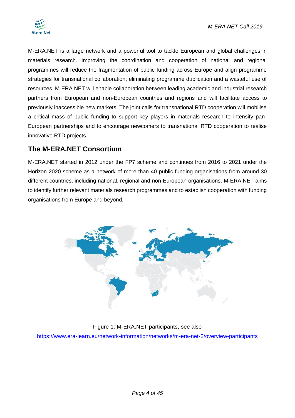

M-ERA.NET is a large network and a powerful tool to tackle European and global challenges in materials research. Improving the coordination and cooperation of national and regional programmes will reduce the fragmentation of public funding across Europe and align programme strategies for transnational collaboration, eliminating programme duplication and a wasteful use of resources. M-ERA.NET will enable collaboration between leading academic and industrial research partners from European and non-European countries and regions and will facilitate access to previously inaccessible new markets. The joint calls for transnational RTD cooperation will mobilise a critical mass of public funding to support key players in materials research to intensify pan-European partnerships and to encourage newcomers to transnational RTD cooperation to realise innovative RTD projects.

### **The M-ERA.NET Consortium**

M-ERA.NET started in 2012 under the FP7 scheme and continues from 2016 to 2021 under the Horizon 2020 scheme as a network of more than 40 public funding organisations from around 30 different countries, including national, regional and non-European organisations. M-ERA.NET aims to identify further relevant materials research programmes and to establish cooperation with funding organisations from Europe and beyond.



#### Figure 1: M-ERA.NET participants, see also

<https://www.era-learn.eu/network-information/networks/m-era-net-2/overview-participants>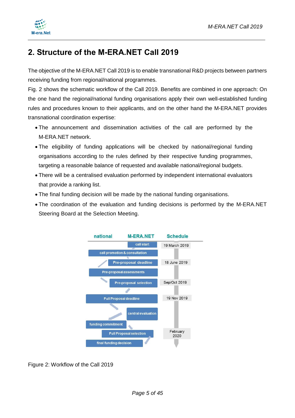

# <span id="page-4-0"></span>**2. Structure of the M-ERA.NET Call 2019**

The objective of the M-ERA.NET Call 2019 is to enable transnational R&D projects between partners receiving funding from regional/national programmes.

Fig. 2 shows the schematic workflow of the Call 2019. Benefits are combined in one approach: On the one hand the regional/national funding organisations apply their own well-established funding rules and procedures known to their applicants, and on the other hand the M-ERA.NET provides transnational coordination expertise:

- The announcement and dissemination activities of the call are performed by the M-ERA.NET network.
- The eligibility of funding applications will be checked by national/regional funding organisations according to the rules defined by their respective funding programmes, targeting a reasonable balance of requested and available national/regional budgets.
- There will be a centralised evaluation performed by independent international evaluators that provide a ranking list.
- The final funding decision will be made by the national funding organisations.
- The coordination of the evaluation and funding decisions is performed by the M-ERA.NET Steering Board at the Selection Meeting.



Figure 2: Workflow of the Call 2019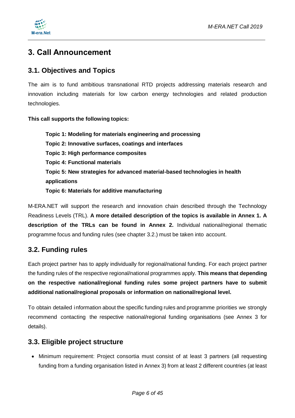

# **3. Call Announcement**

### <span id="page-5-0"></span>**3.1. Objectives and Topics**

The aim is to fund ambitious transnational RTD projects addressing materials research and innovation including materials for low carbon energy technologies and related production technologies.

#### **This call supports the following topics:**

**Topic 1: Modeling for materials engineering and processing Topic 2: Innovative surfaces, coatings and interfaces Topic 3: High performance composites Topic 4: Functional materials Topic 5: New strategies for advanced material-based technologies in health applications Topic 6: Materials for additive manufacturing**

M-ERA.NET will support the research and innovation chain described through the Technology Readiness Levels (TRL). **A more detailed description of the topics is available in Annex 1. A description of the TRLs can be found in Annex 2.** Individual national/regional thematic programme focus and funding rules (see chapter 3.2.) must be taken into account.

### <span id="page-5-1"></span>**3.2. Funding rules**

Each project partner has to apply individually for regional/national funding. For each project partner the funding rules of the respective regional/national programmes apply. **This means that depending on the respective national/regional funding rules some project partners have to submit additional national/regional proposals or information on national/regional level.**

To obtain detailed information about the specific funding rules and programme priorities we strongly recommend contacting the respective national/regional funding organisations (see Annex 3 for details).

### <span id="page-5-2"></span>**3.3. Eligible project structure**

• Minimum requirement: Project consortia must consist of at least 3 partners (all requesting funding from a funding organisation listed in Annex 3) from at least 2 different countries (at least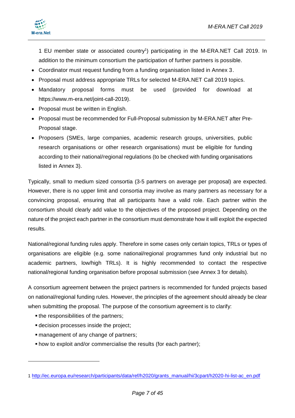1 EU member state or associated country<sup>1</sup>) participating in the M-ERA.NET Call 2019. In addition to the minimum consortium the participation of further partners is possible.

- Coordinator must request funding from a funding organisation listed in Annex 3.
- Proposal must address appropriate TRLs for selected M-ERA.NET Call 2019 topics.
- Mandatory proposal forms must be used (provided for download at https://www.m-era.net/joint-call-2019).
- Proposal must be written in English.
- Proposal must be recommended for Full-Proposal submission by M-ERA.NET after Pre-Proposal stage.
- Proposers (SMEs, large companies, academic research groups, universities, public research organisations or other research organisations) must be eligible for funding according to their national/regional regulations (to be checked with funding organisations listed in Annex 3).

Typically, small to medium sized consortia (3-5 partners on average per proposal) are expected. However, there is no upper limit and consortia may involve as many partners as necessary for a convincing proposal, ensuring that all participants have a valid role. Each partner within the consortium should clearly add value to the objectives of the proposed project. Depending on the nature of the project each partner in the consortium must demonstrate how it will exploit the expected results.

National/regional funding rules apply. Therefore in some cases only certain topics, TRLs or types of organisations are eligible (e.g. some national/regional programmes fund only industrial but no academic partners, low/high TRLs). It is highly recommended to contact the respective national/regional funding organisation before proposal submission (see Annex 3 for details).

A consortium agreement between the project partners is recommended for funded projects based on national/regional funding rules. However, the principles of the agreement should already be clear when submitting the proposal. The purpose of the consortium agreement is to clarify:

• the responsibilities of the partners;

-

- decision processes inside the project;
- management of any change of partners;
- how to exploit and/or commercialise the results (for each partner);

<sup>1</sup> [http://ec.europa.eu/research/participants/data/ref/h2020/grants\\_manual/hi/3cpart/h2020-hi-list-ac\\_en.pdf](http://ec.europa.eu/research/participants/data/ref/h2020/grants_manual/hi/3cpart/h2020-hi-list-ac_en.pdf)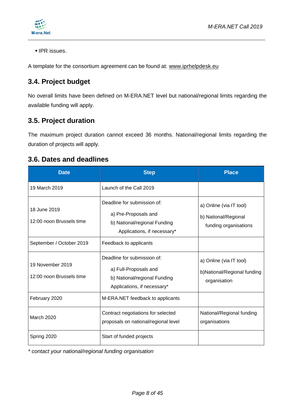

**IPR** issues.

A template for the consortium agreement can be found at: [www.iprhelpdesk.eu](http://www.iprhelpdesk.eu/)

### <span id="page-7-0"></span>**3.4. Project budget**

No overall limits have been defined on M-ERA.NET level but national/regional limits regarding the available funding will apply.

### <span id="page-7-1"></span>**3.5. Project duration**

The maximum project duration cannot exceed 36 months. National/regional limits regarding the duration of projects will apply.

### <span id="page-7-2"></span>**3.6. Dates and deadlines**

| <b>Date</b>                                  | <b>Step</b>                                                                                                         | <b>Place</b>                                                             |
|----------------------------------------------|---------------------------------------------------------------------------------------------------------------------|--------------------------------------------------------------------------|
| 19 March 2019                                | Launch of the Call 2019                                                                                             |                                                                          |
| 18 June 2019<br>12:00 noon Brussels time     | Deadline for submission of:<br>a) Pre-Proposals and<br>b) National/regional Funding<br>Applications, if necessary*  | a) Online (via IT tool)<br>b) National/Regional<br>funding organisations |
| September / October 2019                     | Feedback to applicants                                                                                              |                                                                          |
| 19 November 2019<br>12:00 noon Brussels time | Deadline for submission of:<br>a) Full-Proposals and<br>b) National/regional Funding<br>Applications, if necessary* | a) Online (via IT tool)<br>b)National/Regional funding<br>organisation   |
| February 2020                                | M-ERA.NET feedback to applicants                                                                                    |                                                                          |
| <b>March 2020</b>                            | Contract negotiations for selected<br>proposals on national/regional level                                          | National/Regional funding<br>organisations                               |
| Spring 2020                                  | Start of funded projects                                                                                            |                                                                          |

*\* contact your national/regional funding organisation*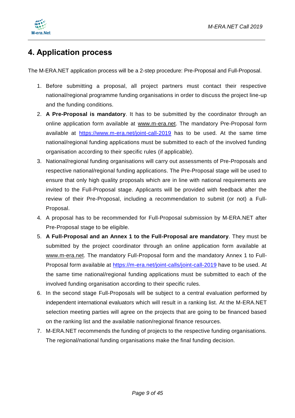

# <span id="page-8-0"></span>**4. Application process**

The M-ERA.NET application process will be a 2-step procedure: Pre-Proposal and Full-Proposal.

- 1. Before submitting a proposal, all project partners must contact their respective national/regional programme funding organisations in order to discuss the project line-up and the funding conditions.
- 2. **A Pre-Proposal is mandatory**. It has to be submitted by the coordinator through an online application form available at [www.m-era.net.](http://www.m-era.net/) The mandatory Pre-Proposal form available at <https://www.m-era.net/joint-call-2019> has to be used. At the same time national/regional funding applications must be submitted to each of the involved funding organisation according to their specific rules (if applicable).
- 3. National/regional funding organisations will carry out assessments of Pre-Proposals and respective national/regional funding applications. The Pre-Proposal stage will be used to ensure that only high quality proposals which are in line with national requirements are invited to the Full-Proposal stage. Applicants will be provided with feedback after the review of their Pre-Proposal, including a recommendation to submit (or not) a Full-Proposal.
- 4. A proposal has to be recommended for Full-Proposal submission by M-ERA.NET after Pre-Proposal stage to be eligible.
- 5. **A Full-Proposal and an Annex 1 to the Full-Proposal are mandatory**. They must be submitted by the project coordinator through an online application form available at [www.m-era.net.](http://www.m-era.net/) The mandatory Full-Proposal form and the mandatory Annex 1 to Full-Proposal form available at<https://m-era.net/joint-calls/joint-call-2019> have to be used. At the same time national/regional funding applications must be submitted to each of the involved funding organisation according to their specific rules.
- 6. In the second stage Full-Proposals will be subject to a central evaluation performed by independent international evaluators which will result in a ranking list. At the M-ERA.NET selection meeting parties will agree on the projects that are going to be financed based on the ranking list and the available nation/regional finance resources.
- 7. M-ERA.NET recommends the funding of projects to the respective funding organisations. The regional/national funding organisations make the final funding decision.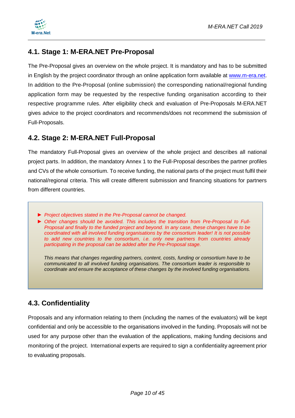

### <span id="page-9-0"></span>**4.1. Stage 1: M-ERA.NET Pre-Proposal**

The Pre-Proposal gives an overview on the whole project. It is mandatory and has to be submitted in English by the project coordinator through an online application form available at [www.m-era.net.](http://www.m-era.net/) In addition to the Pre-Proposal (online submission) the corresponding national/regional funding application form may be requested by the respective funding organisation according to their respective programme rules. After eligibility check and evaluation of Pre-Proposals M-ERA.NET gives advice to the project coordinators and recommends/does not recommend the submission of Full-Proposals.

### <span id="page-9-1"></span>**4.2. Stage 2: M-ERA.NET Full-Proposal**

The mandatory Full-Proposal gives an overview of the whole project and describes all national project parts. In addition, the mandatory Annex 1 to the Full-Proposal describes the partner profiles and CVs of the whole consortium. To receive funding, the national parts of the project must fulfil their national/regional criteria. This will create different submission and financing situations for partners from different countries.

- *► Project objectives stated in the Pre-Proposal cannot be changed.*
- *► Other changes should be avoided. This includes the transition from Pre-Proposal to Full-Proposal and finally to the funded project and beyond. In any case, these changes have to be coordinated with all involved funding organisations by the consortium leader! It is not possible to add new countries to the consortium, i.e. only new partners from countries already participating in the proposal can be added after the Pre-Proposal stage.*

*This means that changes regarding partners, content, costs, funding or consortium have to be communicated to all involved funding organisations. The consortium leader is responsible to coordinate and ensure the acceptance of these changes by the involved funding organisations.*

### <span id="page-9-2"></span>**4.3. Confidentiality**

Proposals and any information relating to them (including the names of the evaluators) will be kept confidential and only be accessible to the organisations involved in the funding. Proposals will not be used for any purpose other than the evaluation of the applications, making funding decisions and monitoring of the project. International experts are required to sign a confidentiality agreement prior to evaluating proposals.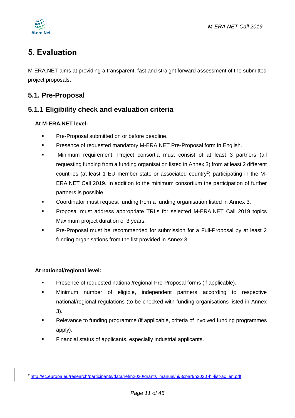

# <span id="page-10-0"></span>**5. Evaluation**

M-ERA.NET aims at providing a transparent, fast and straight forward assessment of the submitted project proposals.

### <span id="page-10-1"></span>**5.1. Pre-Proposal**

### <span id="page-10-2"></span>**5.1.1 Eligibility check and evaluation criteria**

#### **At M-ERA.NET level:**

- Pre-Proposal submitted on or before deadline.
- Presence of requested mandatory M-ERA.NET Pre-Proposal form in English.
- Minimum requirement: Project consortia must consist of at least 3 partners (all requesting funding from a funding organisation listed in Annex 3) from at least 2 different countries (at least 1 EU member state or associated country<sup>2</sup>) participating in the M-ERA.NET Call 2019. In addition to the minimum consortium the participation of further partners is possible.
- Coordinator must request funding from a funding organisation listed in Annex 3.
- **Proposal must address appropriate TRLs for selected M-ERA.NET Call 2019 topics** Maximum project duration of 3 years.
- Pre-Proposal must be recommended for submission for a Full-Proposal by at least 2 funding organisations from the list provided in Annex 3.

#### **At national/regional level:**

-

- Presence of requested national/regional Pre-Proposal forms (if applicable).
- Minimum number of eligible, independent partners according to respective national/regional regulations (to be checked with funding organisations listed in Annex 3).
- Relevance to funding programme (if applicable, criteria of involved funding programmes apply).
- Financial status of applicants, especially industrial applicants.

<sup>2</sup> [http://ec.europa.eu/research/participants/data/ref/h2020/grants\\_manual/hi/3cpart/h2020-hi-list-ac\\_en.pdf](http://ec.europa.eu/research/participants/data/ref/h2020/grants_manual/hi/3cpart/h2020-hi-list-ac_en.pdf)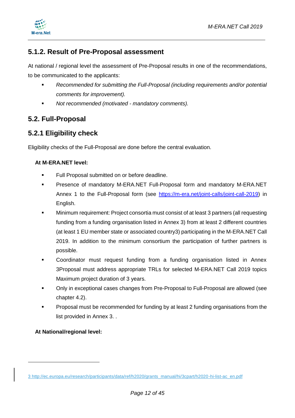

### <span id="page-11-0"></span>**5.1.2. Result of Pre-Proposal assessment**

At national / regional level the assessment of Pre-Proposal results in one of the recommendations, to be communicated to the applicants:

- *Recommended for submitting the Full-Proposal (including requirements and/or potential comments for improvement).*
- *Not recommended (motivated - mandatory comments).*

### <span id="page-11-1"></span>**5.2. Full-Proposal**

### <span id="page-11-2"></span>**5.2.1 Eligibility check**

Eligibility checks of the Full-Proposal are done before the central evaluation.

#### **At M-ERA.NET level:**

- Full Proposal submitted on or before deadline.
- Presence of mandatory M-ERA.NET Full-Proposal form and mandatory M-ERA.NET Annex 1 to the Full-Proposal form (see [https://m-era.net/joint-calls/joint-call-2019\)](https://m-era.net/joint-calls/joint-call-2019) in English.
- Minimum requirement: Project consortia must consist of at least 3 partners (all requesting funding from a funding organisation listed in Annex 3) from at least 2 different countries (at least 1 EU member state or associated country3) participating in the M-ERA.NET Call 2019. In addition to the minimum consortium the participation of further partners is possible.
- Coordinator must request funding from a funding organisation listed in Annex 3Proposal must address appropriate TRLs for selected M-ERA.NET Call 2019 topics Maximum project duration of 3 years.
- Only in exceptional cases changes from Pre-Proposal to Full-Proposal are allowed (see chapter 4.2).
- Proposal must be recommended for funding by at least 2 funding organisations from the list provided in Annex 3. .

#### **At National/regional level:**

-

<sup>3</sup> [http://ec.europa.eu/research/participants/data/ref/h2020/grants\\_manual/hi/3cpart/h2020-hi-list-ac\\_en.pdf](http://ec.europa.eu/research/participants/data/ref/h2020/grants_manual/hi/3cpart/h2020-hi-list-ac_en.pdf)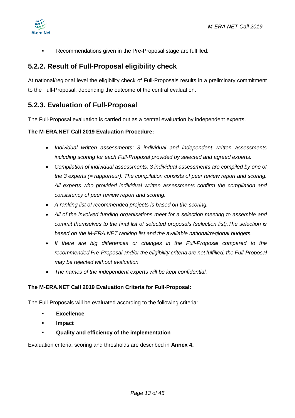



**Recommendations given in the Pre-Proposal stage are fulfilled.** 

### <span id="page-12-0"></span>**5.2.2. Result of Full-Proposal eligibility check**

At national/regional level the eligibility check of Full-Proposals results in a preliminary commitment to the Full-Proposal, depending the outcome of the central evaluation.

### <span id="page-12-1"></span>**5.2.3. Evaluation of Full-Proposal**

The Full-Proposal evaluation is carried out as a central evaluation by independent experts.

#### **The M-ERA.NET Call 2019 Evaluation Procedure:**

- *Individual written assessments: 3 individual and independent written assessments including scoring for each Full-Proposal provided by selected and agreed experts.*
- *Compilation of individual assessments: 3 individual assessments are compiled by one of the 3 experts (= rapporteur). The compilation consists of peer review report and scoring. All experts who provided individual written assessments confirm the compilation and consistency of peer review report and scoring.*
- *A ranking list of recommended projects is based on the scoring.*
- *All of the involved funding organisations meet for a selection meeting to assemble and commit themselves to the final list of selected proposals (selection list).The selection is based on the M-ERA.NET ranking list and the available national/regional budgets.*
- *If there are big differences or changes in the Full-Proposal compared to the recommended Pre-Proposal and/or the eligibility criteria are not fulfilled, the Full-Proposal may be rejected without evaluation.*
- *The names of the independent experts will be kept confidential.*

#### **The M-ERA.NET Call 2019 Evaluation Criteria for Full-Proposal:**

The Full-Proposals will be evaluated according to the following criteria:

- **Excellence**
- **Impact**
- **Quality and efficiency of the implementation**

Evaluation criteria, scoring and thresholds are described in **Annex 4.**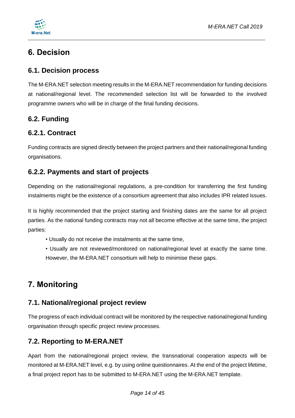

# <span id="page-13-0"></span>**6. Decision**

### <span id="page-13-1"></span>**6.1. Decision process**

The M-ERA.NET selection meeting results in the M-ERA.NET recommendation for funding decisions at national/regional level. The recommended selection list will be forwarded to the involved programme owners who will be in charge of the final funding decisions.

### <span id="page-13-2"></span>**6.2. Funding**

### <span id="page-13-3"></span>**6.2.1. Contract**

Funding contracts are signed directly between the project partners and their national/regional funding organisations.

### <span id="page-13-4"></span>**6.2.2. Payments and start of projects**

Depending on the national/regional regulations, a pre-condition for transferring the first funding instalments might be the existence of a consortium agreement that also includes IPR related issues.

It is highly recommended that the project starting and finishing dates are the same for all project parties. As the national funding contracts may not all become effective at the same time, the project parties:

- Usually do not receive the instalments at the same time,
- Usually are not reviewed/monitored on national/regional level at exactly the same time. However, the M-ERA.NET consortium will help to minimise these gaps.

# <span id="page-13-5"></span>**7. Monitoring**

### <span id="page-13-6"></span>**7.1. National/regional project review**

The progress of each individual contract will be monitored by the respective national/regional funding organisation through specific project review processes.

### <span id="page-13-7"></span>**7.2. Reporting to M-ERA.NET**

Apart from the national/regional project review, the transnational cooperation aspects will be monitored at M-ERA.NET level, e.g. by using online questionnaires. At the end of the project lifetime, a final project report has to be submitted to M-ERA.NET using the M-ERA.NET template.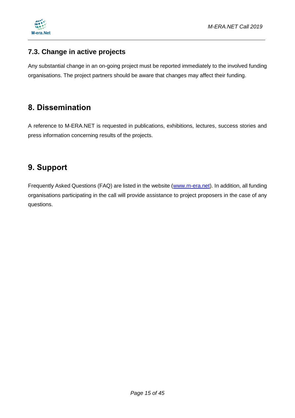

### <span id="page-14-0"></span>**7.3. Change in active projects**

Any substantial change in an on-going project must be reported immediately to the involved funding organisations. The project partners should be aware that changes may affect their funding.

## <span id="page-14-1"></span>**8. Dissemination**

A reference to M-ERA.NET is requested in publications, exhibitions, lectures, success stories and press information concerning results of the projects.

# <span id="page-14-2"></span>**9. Support**

Frequently Asked Questions (FAQ) are listed in the website [\(www.m-era.net\)](http://www.m-era.net/). In addition, all funding organisations participating in the call will provide assistance to project proposers in the case of any questions.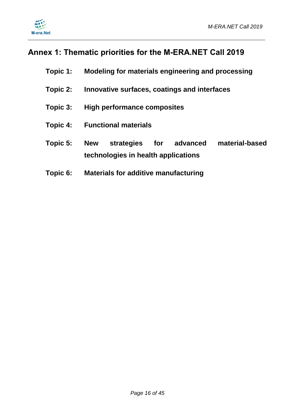



# <span id="page-15-0"></span>**Annex 1: Thematic priorities for the M-ERA.NET Call 2019**

| Topic 1: |            | Modeling for materials engineering and processing |     |          |                |  |  |
|----------|------------|---------------------------------------------------|-----|----------|----------------|--|--|
| Topic 2: |            | Innovative surfaces, coatings and interfaces      |     |          |                |  |  |
| Topic 3: |            | <b>High performance composites</b>                |     |          |                |  |  |
| Topic 4: |            | <b>Functional materials</b>                       |     |          |                |  |  |
| Topic 5: | <b>New</b> | strategies<br>technologies in health applications | for | advanced | material-based |  |  |
| Topic 6: |            | <b>Materials for additive manufacturing</b>       |     |          |                |  |  |

*Page 16 of 45*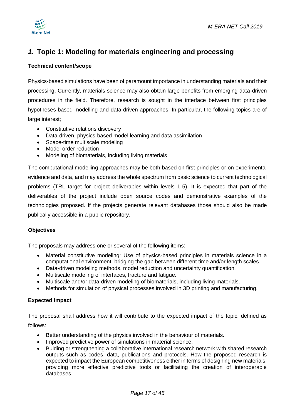

### <span id="page-16-0"></span>*1.* **Topic 1: Modeling for materials engineering and processing**

#### **Technical content/scope**

Physics-based simulations have been of paramount importance in understanding materials and their processing. Currently, materials science may also obtain large benefits from emerging data-driven procedures in the field. Therefore, research is sought in the interface between first principles hypotheses-based modelling and data-driven approaches. In particular, the following topics are of large interest;

- Constitutive relations discovery
- Data-driven, physics-based model learning and data assimilation
- Space-time multiscale modeling
- Model order reduction
- Modeling of biomaterials, including living materials

The computational modelling approaches may be both based on first principles or on experimental evidence and data, and may address the whole spectrum from basic science to current technological problems (TRL target for project deliverables within levels 1-5). It is expected that part of the deliverables of the project include open source codes and demonstrative examples of the technologies proposed. If the projects generate relevant databases those should also be made publically accessible in a public repository.

#### **Objectives**

The proposals may address one or several of the following items:

- Material constitutive modeling: Use of physics-based principles in materials science in a computational environment, bridging the gap between different time and/or length scales.
- Data-driven modeling methods, model reduction and uncertainty quantification.
- Multiscale modeling of interfaces, fracture and fatigue.
- Multiscale and/or data-driven modeling of biomaterials, including living materials.
- Methods for simulation of physical processes involved in 3D printing and manufacturing.

#### **Expected impact**

The proposal shall address how it will contribute to the expected impact of the topic, defined as follows:

- Better understanding of the physics involved in the behaviour of materials.
- Improved predictive power of simulations in material science.
- Bulding or strengthening a collaborative international research network with shared research outputs such as codes, data, publications and protocols. How the proposed research is expected to impact the European competitiveness either in terms of designing new materials, providing more effective predictive tools or facilitating the creation of interoperable databases.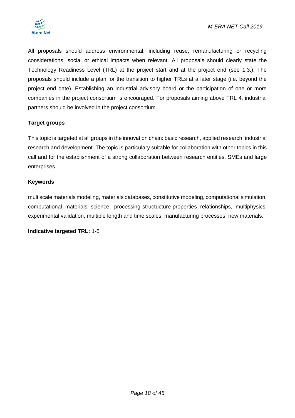

All proposals should address environmental, including reuse, remanufacturing or recycling considerations, social or ethical impacts when relevant. All proposals should clearly state the Technology Readiness Level (TRL) at the project start and at the project end (see 1.3.). The proposals should include a plan for the transition to higher TRLs at a later stage (i.e. beyond the project end date). Establishing an industrial advisory board or the participation of one or more companies in the project consortium is encouraged. For proposals aiming above TRL 4, industrial partners should be involved in the project consortium.

#### **Target groups**

This topic is targeted at all groups in the innovation chain: basic research, applied research, industrial research and development. The topic is particulary suitable for collaboration with other topics in this call and for the establishment of a strong collaboration between research entities, SMEs and large enterprises.

#### **Keywords**

multiscale materials modeling, materials databases, constitutive modeling, computational simulation, computational materials science, processing-structucture-properties relationships, multiphysics, experimental validation, multiple length and time scales, manufacturing processes, new materials.

**Indicative targeted TRL:** 1-5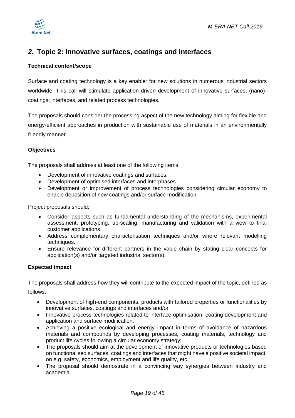

### <span id="page-18-0"></span>*2.* **Topic 2: Innovative surfaces, coatings and interfaces**

#### **Technical content/scope**

Surface and coating technology is a key enabler for new solutions in numerous industrial sectors worldwide. This call will stimulate application driven development of innovative surfaces, (nano) coatings, interfaces, and related process technologies.

The proposals should consider the processing aspect of the new technology aiming for flexible and energy-efficient approaches in production with sustainable use of materials in an environmentally friendly manner.

#### **Objectives**

The proposals shall address at least one of the following items:

- Development of innovative coatings and surfaces.
- Development of optimised interfaces and interphases.
- Development or improvement of process technologies considering circular economy to enable deposition of new coatings and/or surface modification.

Project proposals should:

- Consider aspects such as fundamental understanding of the mechanisms, experimental assessment, prototyping, up-scaling, manufacturing and validation with a view to final customer applications.
- Address complementary characterisation techniques and/or where relevant modelling techniques.
- Ensure relevance for different partners in the value chain by stating clear concepts for application(s) and/or targeted industrial sector(s).

#### **Expected impact**

The proposals shall address how they will contribute to the expected impact of the topic, defined as follows:

- Development of high-end components, products with tailored properties or functionalities by innovative surfaces, coatings and interfaces and/or
- Innovative process technologies related to interface optimisation, coating development and application and surface modification;
- Achieving a positive ecological and energy impact in terms of avoidance of hazardous materials and compounds by developing processes, coating materials, technology and product life cycles following a circular economy strategy;
- The proposals should aim at the development of innovative products or technologies based on functionalised surfaces, coatings and interfaces that might have a positive societal impact, on e.g. safety, economics, employment and life quality, etc.
- The proposal should demostrate in a convincing way synergies between industry and academia.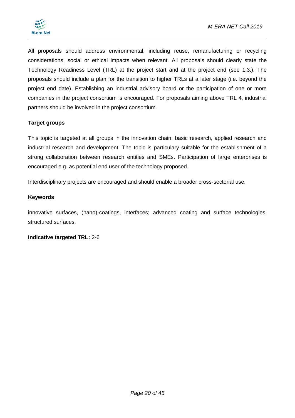

All proposals should address environmental, including reuse, remanufacturing or recycling considerations, social or ethical impacts when relevant. All proposals should clearly state the Technology Readiness Level (TRL) at the project start and at the project end (see 1.3.). The proposals should include a plan for the transition to higher TRLs at a later stage (i.e. beyond the project end date). Establishing an industrial advisory board or the participation of one or more companies in the project consortium is encouraged. For proposals aiming above TRL 4, industrial partners should be involved in the project consortium.

#### **Target groups**

This topic is targeted at all groups in the innovation chain: basic research, applied research and industrial research and development. The topic is particulary suitable for the establishment of a strong collaboration between research entities and SMEs. Participation of large enterprises is encouraged e.g. as potential end user of the technology proposed.

Interdisciplinary projects are encouraged and should enable a broader cross-sectorial use.

#### **Keywords**

innovative surfaces, (nano)-coatings, interfaces; advanced coating and surface technologies, structured surfaces.

**Indicative targeted TRL:** 2-6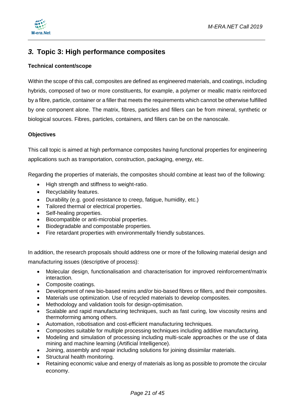

### <span id="page-20-0"></span>*3.* **Topic 3: High performance composites**

#### **Technical content/scope**

Within the scope of this call, composites are defined as engineered materials, and coatings, including hybrids, composed of two or more constituents, for example, a polymer or meallic matrix reinforced by a fibre, particle, container or a filler that meets the requirements which cannot be otherwise fulfilled by one component alone. The matrix, fibres, particles and fillers can be from mineral, synthetic or biological sources. Fibres, particles, containers, and fillers can be on the nanoscale.

#### **Objectives**

This call topic is aimed at high performance composites having functional properties for engineering applications such as transportation, construction, packaging, energy, etc.

Regarding the properties of materials, the composites should combine at least two of the following:

- High strength and stiffness to weight-ratio.
- Recyclability features.
- Durability (e.g. good resistance to creep, fatigue, humidity, etc.)
- Tailored thermal or electrical properties.
- Self-healing properties.
- Biocompatible or anti-microbial properties.
- Biodegradable and compostable properties.
- Fire retardant properties with environmentally friendly substances.

In addition, the research proposals should address one or more of the following material design and manufacturing issues (descriptive of process):

- Molecular design, functionalisation and characterisation for improved reinforcement/matrix interaction.
- Composite coatings.
- Development of new bio-based resins and/or bio-based fibres or fillers, and their composites.
- Materials use optimization. Use of recycled materials to develop composites.
- Methodology and validation tools for design-optimisation.
- Scalable and rapid manufacturing techniques, such as fast curing, low viscosity resins and thermoforming among others.
- Automation, robotisation and cost-efficient manufacturing techniques.
- Composites suitable for multiple processing techniques including additive manufacturing.
- Modeling and simulation of processing including multi-scale approaches or the use of data mining and machine learning (Artificial Intelligence).
- Joining, assembly and repair including solutions for joining dissimilar materials.
- Structural health monitoring.
- Retaining economic value and energy of materials as long as possible to promote the circular economy.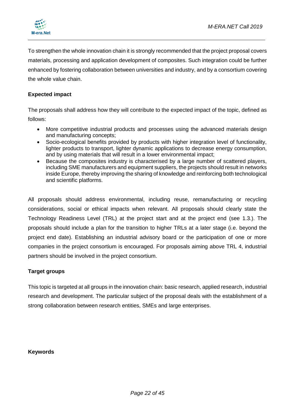

To strengthen the whole innovation chain it is strongly recommended that the project proposal covers materials, processing and application development of composites. Such integration could be further enhanced by fostering collaboration between universities and industry, and by a consortium covering the whole value chain.

#### **Expected impact**

The proposals shall address how they will contribute to the expected impact of the topic, defined as follows:

- More competitive industrial products and processes using the advanced materials design and manufacturing concepts;
- Socio-ecological benefits provided by products with higher integration level of functionality, lighter products to transport, lighter dynamic applications to decrease energy consumption, and by using materials that will result in a lower environmental impact;
- Because the composites industry is characterised by a large number of scattered players, including SME manufacturers and equipment suppliers, the projects should result in networks inside Europe, thereby improving the sharing of knowledge and reinforcing both technological and scientific platforms.

All proposals should address environmental, including reuse, remanufacturing or recycling considerations, social or ethical impacts when relevant. All proposals should clearly state the Technology Readiness Level (TRL) at the project start and at the project end (see 1.3.). The proposals should include a plan for the transition to higher TRLs at a later stage (i.e. beyond the project end date). Establishing an industrial advisory board or the participation of one or more companies in the project consortium is encouraged. For proposals aiming above TRL 4, industrial partners should be involved in the project consortium.

#### **Target groups**

This topic is targeted at all groups in the innovation chain: basic research, applied research, industrial research and development. The particular subject of the proposal deals with the establishment of a strong collaboration between research entities, SMEs and large enterprises.

#### **Keywords**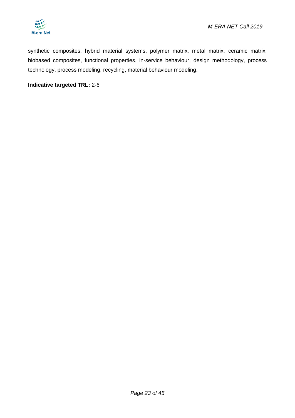

synthetic composites, hybrid material systems, polymer matrix, metal matrix, ceramic matrix, biobased composites, functional properties, in-service behaviour, design methodology, process technology, process modeling, recycling, material behaviour modeling.

#### **Indicative targeted TRL:** 2-6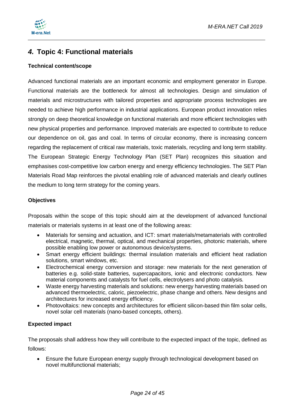

### <span id="page-23-0"></span>*4.* **Topic 4: Functional materials**

#### **Technical content/scope**

Advanced functional materials are an important economic and employment generator in Europe. Functional materials are the bottleneck for almost all technologies. Design and simulation of materials and microstructures with tailored properties and appropriate process technologies are needed to achieve high performance in industrial applications. European product innovation relies strongly on deep theoretical knowledge on functional materials and more efficient technologies with new physical properties and performance. Improved materials are expected to contribute to reduce our dependence on oil, gas and coal. In terms of circular economy, there is increasing concern regarding the replacement of critical raw materials, toxic materials, recycling and long term stability. The European Strategic Energy Technology Plan (SET Plan) recognizes this situation and emphasises cost-competitive low carbon energy and energy efficiency technologies. The SET Plan Materials Road Map reinforces the pivotal enabling role of advanced materials and clearly outlines the medium to long term strategy for the coming years.

#### **Objectives**

Proposals within the scope of this topic should aim at the development of advanced functional materials or materials systems in at least one of the following areas:

- Materials for sensing and actuation, and ICT: smart materials/metamaterials with controlled electrical, magnetic, thermal, optical, and mechanical properties, photonic materials, where possible enabling low power or autonomous device/systems.
- Smart energy efficient buildings: thermal insulation materials and efficient heat radiation solutions, smart windows, etc.
- Electrochemical energy conversion and storage: new materials for the next generation of batteries e.g. solid-state batteries, supercapacitors, ionic and electronic conductors. New material components and catalysts for fuel cells, electrolysers and photo catalysis*.*
- Waste energy harvesting materials and solutions: new energy harvesting materials based on advanced thermoelectric, caloric, piezoelectric, phase change and others. New designs and architectures for increased energy efficiency.
- Photovoltaics: new concepts and architectures for efficient silicon-based thin film solar cells, novel solar cell materials (nano-based concepts, others).

#### **Expected impact**

The proposals shall address how they will contribute to the expected impact of the topic, defined as follows:

 Ensure the future European energy supply through technological development based on novel multifunctional materials;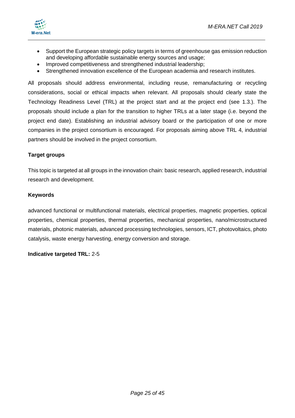



- Support the European strategic policy targets in terms of greenhouse gas emission reduction and developing affordable sustainable energy sources and usage;
- Improved competitiveness and strengthened industrial leadership;
- Strengthened innovation excellence of the European academia and research institutes.

All proposals should address environmental, including reuse, remanufacturing or recycling considerations, social or ethical impacts when relevant. All proposals should clearly state the Technology Readiness Level (TRL) at the project start and at the project end (see 1.3.). The proposals should include a plan for the transition to higher TRLs at a later stage (i.e. beyond the project end date). Establishing an industrial advisory board or the participation of one or more companies in the project consortium is encouraged. For proposals aiming above TRL 4, industrial partners should be involved in the project consortium.

#### **Target groups**

This topic is targeted at all groups in the innovation chain: basic research, applied research, industrial research and development.

#### **Keywords**

advanced functional or multifunctional materials, electrical properties, magnetic properties, optical properties, chemical properties, thermal properties, mechanical properties, nano/microstructured materials, photonic materials, advanced processing technologies, sensors, ICT, photovoltaics, photo catalysis, waste energy harvesting, energy conversion and storage.

#### **Indicative targeted TRL:** 2-5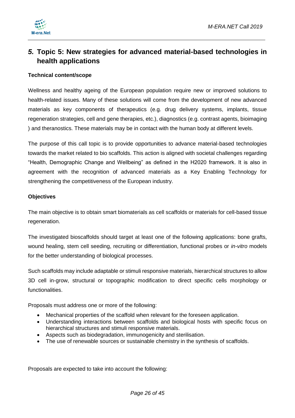

### <span id="page-25-0"></span>*5.* **Topic 5: New strategies for advanced material-based technologies in health applications**

#### **Technical content/scope**

Wellness and healthy ageing of the European population require new or improved solutions to health-related issues. Many of these solutions will come from the development of new advanced materials as key components of therapeutics (e.g. drug delivery systems, implants, tissue regeneration strategies, cell and gene therapies, etc.), diagnostics (e.g. contrast agents, bioimaging ) and theranostics. These materials may be in contact with the human body at different levels.

The purpose of this call topic is to provide opportunities to advance material-based technologies towards the market related to bio scaffolds. This action is aligned with societal challenges regarding "Health, Demographic Change and Wellbeing" as defined in the H2020 framework. It is also in agreement with the recognition of advanced materials as a Key Enabling Technology for strengthening the competitiveness of the European industry.

#### **Objectives**

The main objective is to obtain smart biomaterials as cell scaffolds or materials for cell-based tissue regeneration.

The investigated bioscaffolds should target at least one of the following applications: bone grafts, wound healing, stem cell seeding, recruiting or differentiation, functional probes or *in-vitro* models for the better understanding of biological processes.

Such scaffolds may include adaptable or stimuli responsive materials, hierarchical structures to allow 3D cell in-grow, structural or topographic modification to direct specific cells morphology or functionalities.

Proposals must address one or more of the following:

- Mechanical properties of the scaffold when relevant for the foreseen application.
- Understanding interactions between scaffolds and biological hosts with specific focus on hierarchical structures and stimuli responsive materials.
- Aspects such as biodegradation, immunogenicity and sterilisation.
- The use of renewable sources or sustainable chemistry in the synthesis of scaffolds.

Proposals are expected to take into account the following: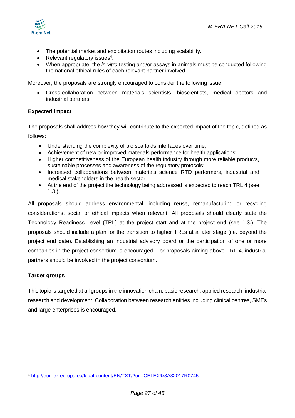

- The potential market and exploitation routes including scalability.
- Relevant regulatory issues<sup>4</sup>.
- When appropriate, the *in vitro* testing and/or assays in animals must be conducted following the national ethical rules of each relevant partner involved.

Moreover, the proposals are strongly encouraged to consider the following issue:

 Cross-collaboration between materials scientists, bioscientists, medical doctors and industrial partners.

#### **Expected impact**

The proposals shall address how they will contribute to the expected impact of the topic, defined as follows:

- Understanding the complexity of bio scaffolds interfaces over time;
- Achievement of new or improved materials performance for health applications;
- Higher competitiveness of the European health industry through more reliable products, sustainable processes and awareness of the regulatory protocols;
- Increased collaborations between materials science RTD performers, industrial and medical stakeholders in the health sector;
- At the end of the project the technology being addressed is expected to reach TRL 4 (see 1.3.).

All proposals should address environmental, including reuse, remanufacturing or recycling considerations, social or ethical impacts when relevant. All proposals should clearly state the Technology Readiness Level (TRL) at the project start and at the project end (see 1.3.). The proposals should include a plan for the transition to higher TRLs at a later stage (i.e. beyond the project end date). Establishing an industrial advisory board or the participation of one or more companies in the project consortium is encouraged. For proposals aiming above TRL 4, industrial partners should be involved in the project consortium.

#### **Target groups**

-

This topic is targeted at all groups in the innovation chain: basic research, applied research, industrial research and development. Collaboration between research entities including clinical centres, SMEs and large enterprises is encouraged.

<sup>4</sup> <http://eur-lex.europa.eu/legal-content/EN/TXT/?uri=CELEX%3A32017R0745>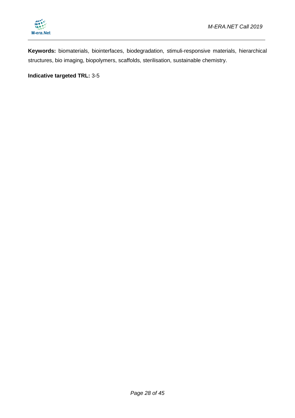

**Keywords:** biomaterials, biointerfaces, biodegradation, stimuli-responsive materials, hierarchical structures, bio imaging, biopolymers, scaffolds, sterilisation, sustainable chemistry.

**Indicative targeted TRL:** 3-5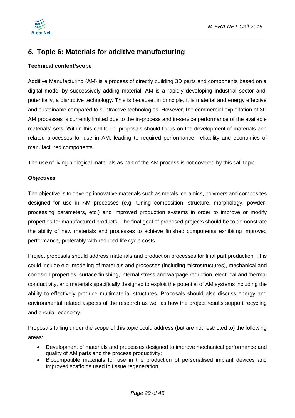

### <span id="page-28-0"></span>*6.* **Topic 6: Materials for additive manufacturing**

#### **Technical content/scope**

Additive Manufacturing (AM) is a process of directly building 3D parts and components based on a digital model by successively adding material. AM is a rapidly developing industrial sector and, potentially, a disruptive technology. This is because, in principle, it is material and energy effective and sustainable compared to subtractive technologies. However, the commercial exploitation of 3D AM processes is currently limited due to the in-process and in-service performance of the available materials' sets. Within this call topic, proposals should focus on the development of materials and related processes for use in AM, leading to required performance, reliability and economics of manufactured components.

The use of living biological materials as part of the AM process is not covered by this call topic.

#### **Objectives**

The objective is to develop innovative materials such as metals, ceramics, polymers and composites designed for use in AM processes (e.g. tuning composition, structure, morphology, powderprocessing parameters, etc.) and improved production systems in order to improve or modify properties for manufactured products. The final goal of proposed projects should be to demonstrate the ability of new materials and processes to achieve finished components exhibiting improved performance, preferably with reduced life cycle costs.

Project proposals should address materials and production processes for final part production. This could include e.g. modeling of materials and processes (including microstructures), mechanical and corrosion properties, surface finishing, internal stress and warpage reduction, electrical and thermal conductivity, and materials specifically designed to exploit the potential of AM systems including the ability to effectively produce multimaterial structures. Proposals should also discuss energy and environmental related aspects of the research as well as how the project results support recycling and circular economy.

Proposals falling under the scope of this topic could address (but are not restricted to) the following areas:

- Development of materials and processes designed to improve mechanical performance and quality of AM parts and the process productivity;
- Biocompatible materials for use in the production of personalised implant devices and improved scaffolds used in tissue regeneration;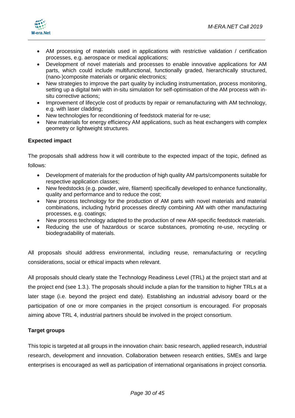

- AM processing of materials used in applications with restrictive validation / certification processes, e.g. aerospace or medical applications;
- Development of novel materials and processes to enable innovative applications for AM parts, which could include multifunctional, functionally graded, hierarchically structured, (nano-)composite materials or organic electronics;
- New strategies to improve the part quality by including instrumentation, process monitoring, setting up a digital twin with in-situ simulation for self-optimisation of the AM process with insitu corrective actions;
- Improvement of lifecycle cost of products by repair or remanufacturing with AM technology, e.g. with laser cladding;
- New technologies for reconditioning of feedstock material for re-use;
- New materials for energy efficiency AM applications, such as heat exchangers with complex geometry or lightweight structures.

#### **Expected impact**

The proposals shall address how it will contribute to the expected impact of the topic, defined as

follows:

- Development of materials for the production of high quality AM parts/components suitable for respective application classes;
- New feedstocks (e.g. powder, wire, filament) specifically developed to enhance functionality, quality and performance and to reduce the cost;
- New process technology for the production of AM parts with novel materials and material combinations, including hybrid processes directly combining AM with other manufacturing processes, e.g. coatings;
- New process technology adapted to the production of new AM-specific feedstock materials.
- Reducing the use of hazardous or scarce substances, promoting re-use, recycling or biodegradability of materials.

All proposals should address environmental, including reuse, remanufacturing or recycling considerations, social or ethical impacts when relevant.

All proposals should clearly state the Technology Readiness Level (TRL) at the project start and at the project end (see 1.3.). The proposals should include a plan for the transition to higher TRLs at a later stage (i.e. beyond the project end date). Establishing an industrial advisory board or the participation of one or more companies in the project consortium is encouraged. For proposals aiming above TRL 4, industrial partners should be involved in the project consortium.

#### **Target groups**

This topic is targeted at all groups in the innovation chain: basic research, applied research, industrial research, development and innovation. Collaboration between research entities, SMEs and large enterprises is encouraged as well as participation of international organisations in project consortia.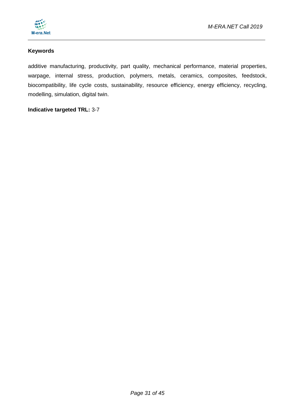

#### **Keywords**

additive manufacturing, productivity, part quality, mechanical performance, material properties, warpage, internal stress, production, polymers, metals, ceramics, composites, feedstock, biocompatibility, life cycle costs, sustainability, resource efficiency, energy efficiency, recycling, modelling, simulation, digital twin.

#### **Indicative targeted TRL:** 3-7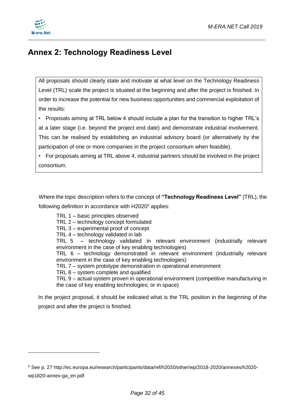



-

# <span id="page-31-0"></span>**Annex 2: Technology Readiness Level**

All proposals should clearly state and motivate at what level on the Technology Readiness Level (TRL) scale the project is situated at the beginning and after the project is finished. In order to increase the potential for new business opportunities and commercial exploitation of the results:

• Proposals aiming at TRL below 4 should include a plan for the transition to higher TRL's at a later stage (i.e. beyond the project end date) and demonstrate industrial involvement. This can be realised by establishing an industrial advisory board (or alternatively by the participation of one or more companies in the project consortium when feasible).

• For proposals aiming at TRL above 4, industrial partners should be involved in the project consortium.

Where the topic description refers to the concept of **"Technology Readiness Level"** (TRL), the following definition in accordance with H2020<sup>5</sup> applies:

TRL 1 – basic principles observed TRL 2 – technology concept formulated TRL 3 – experimental proof of concept TRL 4 – technology validated in lab TRL 5 – technology validated in relevant environment (industrially relevant environment in the case of key enabling technologies) TRL 6 – technology demonstrated in relevant environment (industrially relevant environment in the case of key enabling technologies) TRL 7 – system prototype demonstration in operational environment TRL 8 – system complete and qualified TRL 9 – actual system proven in operational environment (competitive manufacturing in the case of key enabling technologies; or in space)

In the project proposal, it should be indicated what is the TRL position in the beginning of the project and after the project is finished.

<sup>5</sup> See p. 27 http://ec.europa.eu/research/participants/data/ref/h2020/other/wp/2018-2020/annexes/h2020 wp1820-annex-ga\_en.pdf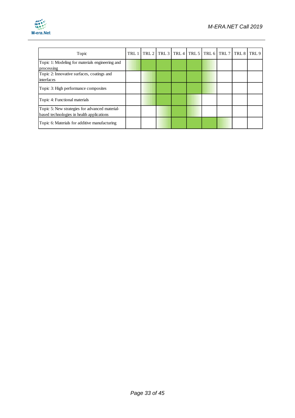

| Topic                                                                                       | TRL 1   TRL 2   TRL 3   TRL 4   TRL 5   TRL 6   TRL 7   TRL 8   TRL 9 |  |  |  |  |
|---------------------------------------------------------------------------------------------|-----------------------------------------------------------------------|--|--|--|--|
| Topic 1: Modeling for materials engineering and<br>processing                               |                                                                       |  |  |  |  |
| Topic 2: Innovative surfaces, coatings and<br>interfaces                                    |                                                                       |  |  |  |  |
| Topic 3: High performance composites                                                        |                                                                       |  |  |  |  |
| Topic 4: Functional materials                                                               |                                                                       |  |  |  |  |
| Topic 5: New strategies for advanced material-<br>based technologies in health applications |                                                                       |  |  |  |  |
| Topic 6: Materials for additive manufacturing                                               |                                                                       |  |  |  |  |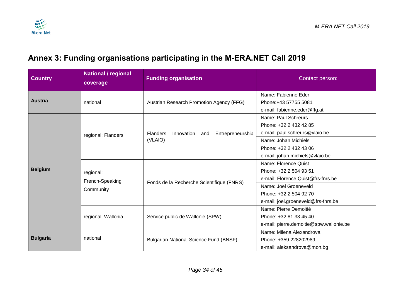

# **Annex 3: Funding organisations participating in the M-ERA.NET Call 2019**

<span id="page-33-0"></span>

| <b>Country</b>  | <b>National / regional</b><br>coverage    | <b>Funding organisation</b>                                  | Contact person:                                                                                                                                                                |
|-----------------|-------------------------------------------|--------------------------------------------------------------|--------------------------------------------------------------------------------------------------------------------------------------------------------------------------------|
| <b>Austria</b>  | national                                  | Austrian Research Promotion Agency (FFG)                     | Name: Fabienne Eder<br>Phone: +43 57755 5081<br>e-mail: fabienne.eder@ffg.at                                                                                                   |
| <b>Belgium</b>  | regional: Flanders                        | Innovation<br>Entrepreneurship<br>Flanders<br>and<br>(VLAIO) | Name: Paul Schreurs<br>Phone: +32 2 432 42 85<br>e-mail: paul.schreurs@vlaio.be<br>Name: Johan Michiels<br>Phone: +32 2 432 43 06<br>e-mail: johan.michiels@vlaio.be           |
|                 | regional:<br>French-Speaking<br>Community | Fonds de la Recherche Scientifique (FNRS)                    | Name: Florence Quist<br>Phone: +32 2 504 93 51<br>e-mail: Florence.Quist@frs-fnrs.be<br>Name: Joël Groeneveld<br>Phone: +32 2 504 92 70<br>e-mail: joel.groeneveld@frs-fnrs.be |
|                 | regional: Wallonia                        | Service public de Wallonie (SPW)                             | Name: Pierre Demoitié<br>Phone: +32 81 33 45 40<br>e-mail: pierre.demoitie@spw.wallonie.be                                                                                     |
| <b>Bulgaria</b> | national                                  | <b>Bulgarian National Science Fund (BNSF)</b>                | Name: Milena Alexandrova<br>Phone: +359 228202989<br>e-mail: aleksandrova@mon.bg                                                                                               |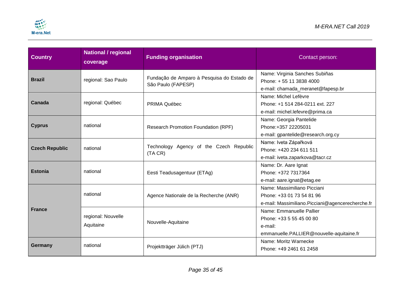

| <b>Country</b>        | <b>National / regional</b><br>coverage | <b>Funding organisation</b>                                      | Contact person:                                                                                               |  |  |
|-----------------------|----------------------------------------|------------------------------------------------------------------|---------------------------------------------------------------------------------------------------------------|--|--|
| <b>Brazil</b>         | regional: Sao Paulo                    | Fundação de Amparo à Pesquisa do Estado de<br>São Paulo (FAPESP) | Name: Virginia Sanches Subiñas<br>Phone: +55 11 3838 4000<br>e-mail: chamada_meranet@fapesp.br                |  |  |
| Canada                | regional: Québec                       | PRIMA Québec                                                     | Name: Michel Lefèvre<br>Phone: +1 514 284-0211 ext. 227<br>e-mail: michel.lefevre@prima.ca                    |  |  |
| <b>Cyprus</b>         | national                               | Research Promotion Foundation (RPF)                              | Name: Georgia Pantelide<br>Phone:+357 22205031<br>e-mail: gpantelide@research.org.cy                          |  |  |
| <b>Czech Republic</b> | national                               | Technology Agency of the Czech Republic<br>(TA CR)               | Name: Iveta Zápařková<br>Phone: +420 234 611 511<br>e-mail: iveta.zaparkova@tacr.cz                           |  |  |
| <b>Estonia</b>        | national                               | Eesti Teadusagentuur (ETAg)                                      | Name: Dr. Aare Ignat<br>Phone: +372 7317364<br>e-mail: aare.ignat@etag.ee                                     |  |  |
|                       | national                               | Agence Nationale de la Recherche (ANR)                           | Name: Massimiliano Picciani<br>Phone: +33 01 73 54 81 96<br>e-mail: Massimiliano. Picciani@agencerecherche.fr |  |  |
| <b>France</b>         | regional: Nouvelle<br>Aquitaine        | Nouvelle-Aquitaine                                               | Name: Emmanuelle Pallier<br>Phone: +33 5 55 45 00 80<br>e-mail:<br>emmanuelle.PALLIER@nouvelle-aquitaine.fr   |  |  |
| Germany               | national                               | Projektträger Jülich (PTJ)                                       | Name: Moritz Warnecke<br>Phone: +49 2461 61 2458                                                              |  |  |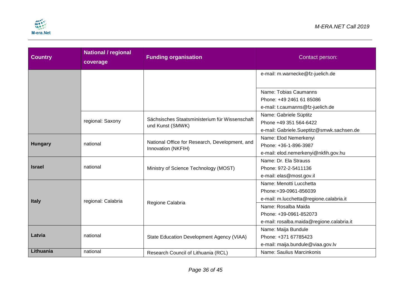

| <b>Country</b> | <b>National / regional</b><br>coverage | <b>Funding organisation</b>                    | Contact person:                           |
|----------------|----------------------------------------|------------------------------------------------|-------------------------------------------|
|                |                                        |                                                | e-mail: m.warnecke@fz-juelich.de          |
|                |                                        |                                                |                                           |
|                |                                        |                                                | Name: Tobias Caumanns                     |
|                |                                        |                                                | Phone: +49 2461 61 85086                  |
|                |                                        |                                                | e-mail: t.caumanns@fz-juelich.de          |
|                |                                        | Sächsisches Staatsministerium für Wissenschaft | Name: Gabriele Süptitz                    |
|                | regional: Saxony                       | und Kunst (SMWK)                               | Phone +49 351 564-6422                    |
|                |                                        |                                                | e-mail: Gabriele.Sueptitz@smwk.sachsen.de |
|                |                                        | National Office for Research, Development, and | Name: Elod Nemerkenyi                     |
| <b>Hungary</b> | national                               | Innovation (NKFIH)                             | Phone: +36-1-896-3987                     |
|                |                                        |                                                | e-mail: elod.nemerkenyi@nkfih.gov.hu      |
|                |                                        |                                                | Name: Dr. Ela Strauss                     |
| <b>Israel</b>  | national                               | Ministry of Science Technology (MOST)          | Phone: 972-2-5411136                      |
|                |                                        |                                                | e-mail: elas@most.gov.il                  |
|                |                                        |                                                | Name: Menotti Lucchetta                   |
|                |                                        |                                                | Phone: +39-0961-856039                    |
| <b>Italy</b>   | regional: Calabria                     | Regione Calabria                               | e-mail: m.lucchetta@regione.calabria.it   |
|                |                                        |                                                | Name: Rosalba Maida                       |
|                |                                        |                                                | Phone: +39-0961-852073                    |
|                |                                        |                                                | e-mail: rosalba.maida@regione.calabria.it |
|                |                                        |                                                | Name: Maija Bundule                       |
| Latvia         | national                               | State Education Development Agency (VIAA)      | Phone: +371 67785423                      |
|                |                                        |                                                | e-mail: maija.bundule@viaa.gov.lv         |
| Lithuania      | national                               | Research Council of Lithuania (RCL)            | Name: Saulius Marcinkonis                 |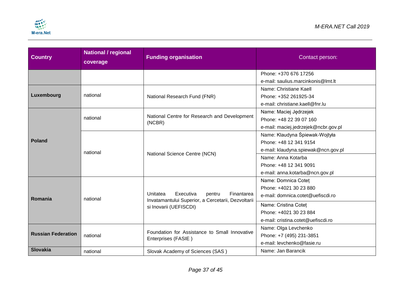

| <b>Country</b>            | <b>National / regional</b><br>coverage | <b>Funding organisation</b>                                                  | Contact person:                                 |
|---------------------------|----------------------------------------|------------------------------------------------------------------------------|-------------------------------------------------|
|                           |                                        |                                                                              | Phone: +370 676 17256                           |
|                           |                                        |                                                                              | e-mail: saulius.marcinkonis@lmt.lt              |
| Luxembourg                | national                               |                                                                              | Name: Christiane Kaell<br>Phone: +352 261925-34 |
|                           |                                        | National Research Fund (FNR)                                                 | e-mail: christiane.kaell@fnr.lu                 |
|                           |                                        |                                                                              |                                                 |
| <b>Poland</b>             | national                               | National Centre for Research and Development                                 | Name: Maciej Jędrzejek                          |
|                           |                                        | (NCBR)                                                                       | Phone: +48 22 39 07 160                         |
|                           |                                        |                                                                              | e-mail: maciej.jedrzejek@ncbr.gov.pl            |
|                           | national                               |                                                                              | Name: Klaudyna Śpiewak-Wojtyła                  |
|                           |                                        |                                                                              | Phone: +48 12 341 9154                          |
|                           |                                        | National Science Centre (NCN)                                                | e-mail: klaudyna.spiewak@ncn.gov.pl             |
|                           |                                        |                                                                              | Name: Anna Kotarba                              |
|                           |                                        |                                                                              | Phone: +48 12 341 9091                          |
|                           |                                        |                                                                              | e-mail: anna.kotarba@ncn.gov.pl                 |
|                           | national                               |                                                                              | Name: Domnica Cotet                             |
|                           |                                        |                                                                              | Phone: +4021 30 23 880                          |
| Romania                   |                                        | Unitatea<br>Executiva<br>Finantarea<br>pentru                                | e-mail: domnica.cotet@uefiscdi.ro               |
|                           |                                        | Invatamantului Superior, a Cercetarii, Dezvoltarii<br>si Inovarii (UEFISCDI) | Name: Cristina Cotet                            |
|                           |                                        |                                                                              | Phone: +4021 30 23 884                          |
|                           |                                        |                                                                              | e-mail: cristina.cotet@uefiscdi.ro              |
|                           |                                        |                                                                              | Name: Olga Levchenko                            |
| <b>Russian Federation</b> | national                               | Foundation for Assistance to Small Innovative                                | Phone: +7 (495) 231-3851                        |
|                           |                                        | Enterprises (FASIE)                                                          | e-mail: levchenko@fasie.ru                      |
| <b>Slovakia</b>           | national                               | Slovak Academy of Sciences (SAS)                                             | Name: Jan Barancik                              |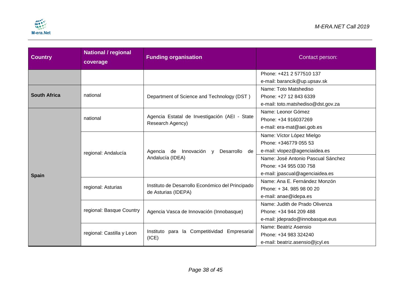

| <b>Country</b>      | <b>National / regional</b><br>coverage | <b>Funding organisation</b>                                             | Contact person:                    |  |
|---------------------|----------------------------------------|-------------------------------------------------------------------------|------------------------------------|--|
|                     |                                        |                                                                         | Phone: +421 2 577510 137           |  |
|                     |                                        |                                                                         | e-mail: barancik@up.upsav.sk       |  |
|                     |                                        |                                                                         | Name: Toto Matshediso              |  |
| <b>South Africa</b> | national                               | Department of Science and Technology (DST)                              | Phone: +27 12 843 6339             |  |
|                     |                                        |                                                                         | e-mail: toto.matshediso@dst.gov.za |  |
|                     |                                        |                                                                         | Name: Leonor Gómez                 |  |
|                     | national                               | Agencia Estatal de Investigación (AEI - State<br>Research Agency)       | Phone: +34 916037269               |  |
|                     |                                        |                                                                         | e-mail: era-mat@aei.gob.es         |  |
|                     | regional: Andalucía                    |                                                                         | Name: Víctor López Mielgo          |  |
|                     |                                        |                                                                         | Phone: +346779 055 53              |  |
|                     |                                        | Agencia de Innovación y<br>Desarrollo<br>de                             | e-mail: vlopez@agenciaidea.es      |  |
|                     |                                        | Andalucía (IDEA)                                                        | Name: José Antonio Pascual Sánchez |  |
|                     |                                        |                                                                         | Phone: +34 955 030 758             |  |
| <b>Spain</b>        |                                        |                                                                         | e-mail: jpascual@agenciaidea.es    |  |
|                     |                                        |                                                                         | Name: Ana E. Fernández Monzón      |  |
|                     | regional: Asturias                     | Instituto de Desarrollo Económico del Principado<br>de Asturias (IDEPA) | Phone: +34.985980020               |  |
|                     |                                        |                                                                         | e-mail: anae@idepa.es              |  |
|                     |                                        |                                                                         | Name: Judith de Prado Olivenza     |  |
|                     | regional: Basque Country               | Agencia Vasca de Innovación (Innobasque)                                | Phone: +34 944 209 488             |  |
|                     |                                        |                                                                         | e-mail: jdeprado@innobasque.eus    |  |
|                     |                                        |                                                                         | Name: Beatriz Asensio              |  |
|                     | regional: Castilla y Leon              | Instituto para la Competitividad Empresarial<br>(ICE)                   | Phone: +34 983 324240              |  |
|                     |                                        |                                                                         | e-mail: beatriz.asensio@jcyl.es    |  |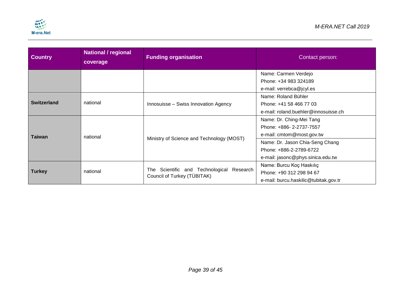

| <b>Country</b>     | <b>National / regional</b><br>coverage | <b>Funding organisation</b>                                              | Contact person:                       |
|--------------------|----------------------------------------|--------------------------------------------------------------------------|---------------------------------------|
|                    |                                        |                                                                          | Name: Carmen Verdejo                  |
|                    |                                        |                                                                          | Phone: +34 983 324189                 |
|                    |                                        |                                                                          | e-mail: verrebca@jcyl.es              |
| <b>Switzerland</b> |                                        |                                                                          | Name: Roland Bühler                   |
|                    | national                               | Innosuisse - Swiss Innovation Agency                                     | Phone: +41 58 466 77 03               |
|                    |                                        |                                                                          | e-mail: roland.buehler@innosuisse.ch  |
|                    | national                               |                                                                          | Name: Dr. Ching-Mei Tang              |
|                    |                                        |                                                                          | Phone: +886-2-2737-7557               |
| <b>Taiwan</b>      |                                        |                                                                          | e-mail: cmtom@most.gov.tw             |
|                    |                                        | Ministry of Science and Technology (MOST)                                | Name: Dr. Jason Chia-Seng Chang       |
|                    |                                        |                                                                          | Phone: +886-2-2789-6722               |
|                    |                                        |                                                                          | e-mail: jasonc@phys.sinica.edu.tw     |
|                    |                                        |                                                                          | Name: Burcu Koç Haskılıç              |
| <b>Turkey</b>      | national                               | The Scientific and Technological Research<br>Council of Turkey (TÜBITAK) | Phone: +90 312 298 94 67              |
|                    |                                        |                                                                          | e-mail: burcu.haskilic@tubitak.gov.tr |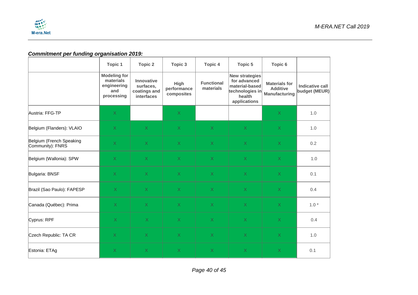

### *Commitment per funding organisation 2019:*

|                                              | <b>Topic 1</b>                                                       | Topic 2                                                      | Topic 3                           | <b>Topic 4</b>                 | Topic 5                                                                                              | Topic 6                                                         |                                         |
|----------------------------------------------|----------------------------------------------------------------------|--------------------------------------------------------------|-----------------------------------|--------------------------------|------------------------------------------------------------------------------------------------------|-----------------------------------------------------------------|-----------------------------------------|
|                                              | <b>Modeling for</b><br>materials<br>engineering<br>and<br>processing | Innovative<br>surfaces,<br>coatings and<br><b>interfaces</b> | High<br>performance<br>composites | <b>Functional</b><br>materials | <b>New strategies</b><br>for advanced<br>material-based<br>technologies in<br>health<br>applications | <b>Materials for</b><br><b>Additive</b><br><b>Manufacturing</b> | <b>Indicative call</b><br>budget (MEUR) |
| Austria: FFG-TP                              | $\mathsf X$                                                          |                                                              | $\sf X$                           |                                |                                                                                                      | X.                                                              | 1.0                                     |
| Belgium (Flanders): VLAIO                    | $\mathsf X$                                                          | $\sf X$                                                      | $\mathsf X$                       | $\mathsf X$                    | $\mathsf X$                                                                                          | $\mathsf{X}% _{0}$                                              | 1.0                                     |
| Belgium (French Speaking<br>Community): FNRS | $\mathsf X$                                                          | $\mathsf{X}$                                                 | $\overline{X}$                    | $\mathsf X$                    | $\mathsf{X}^{\scriptscriptstyle \top}$                                                               | $\mathsf{X}$                                                    | 0.2                                     |
| Belgium (Wallonia): SPW                      | $\mathsf{X}$                                                         | $\sf X$                                                      | $\sf X$                           | $\mathsf{X}$                   | $\mathsf{X}$                                                                                         | $\mathsf X$                                                     | 1.0                                     |
| Bulgaria: BNSF                               | $\mathsf X$                                                          | $\overline{X}$                                               | $\mathsf X$                       | $\mathsf{X}$                   | $\mathsf X$                                                                                          | $\mathsf X$                                                     | 0.1                                     |
| Brazil (Sao Paulo): FAPESP                   | $\mathsf X$                                                          | $\sf X$                                                      | $\sf X$                           | $\mathsf{X}$                   | $\mathsf{X}$                                                                                         | $\mathsf X$                                                     | 0.4                                     |
| Canada (Québec): Prima                       | X                                                                    | $\bar{\mathsf{X}}$                                           | $\bar{\mathsf{X}}$                | $\mathsf X$                    | $\mathsf X$                                                                                          | $\mathsf X$                                                     | $1.0*$                                  |
| Cyprus: RPF                                  | X                                                                    | $\overline{X}$                                               | $\overline{X}$                    | $\mathsf{X}$                   | $\overline{X}$                                                                                       | X.                                                              | 0.4                                     |
| Czech Republic: TA CR                        | $\overline{X}$                                                       | $\overline{X}$                                               | $\sf X$                           | $\mathsf{X}$                   | $\mathsf X$                                                                                          | $\mathsf X$                                                     | 1.0                                     |
| Estonia: ETAg                                | $\mathsf X$                                                          | $\sf X$                                                      | $\mathsf X$                       | $\mathsf X$                    | $\mathsf X$                                                                                          | $\mathsf X$                                                     | 0.1                                     |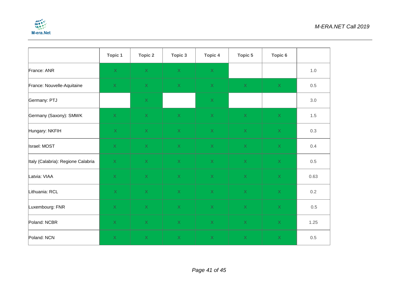

|                                    | Topic 1                                | <b>Topic 2</b>                         | Topic 3                                | <b>Topic 4</b>                         | Topic 5                                | Topic 6                                |      |
|------------------------------------|----------------------------------------|----------------------------------------|----------------------------------------|----------------------------------------|----------------------------------------|----------------------------------------|------|
| France: ANR                        | $\mathsf{X}$                           | $\mathsf{X}^{\scriptscriptstyle \top}$ | $\mathsf X$                            | $\mathsf{X}^{\scriptscriptstyle \top}$ |                                        |                                        | 1.0  |
| France: Nouvelle-Aquitaine         | $\mathsf X$                            | $\mathsf{X}^{\scriptscriptstyle \top}$ | $\mathsf X$                            | $\mathsf{X}^{\scriptscriptstyle \top}$ | $\mathsf{X}% _{0}$                     | $\mathsf X$                            | 0.5  |
| Germany: PTJ                       |                                        | $\mathsf{X}^{\scriptscriptstyle \top}$ |                                        | $\mathsf{X}$                           |                                        |                                        | 3.0  |
| Germany (Saxony): SMWK             | $\mathsf{X}^{\scriptscriptstyle \top}$ | $X^{\top}$                             | $\mathsf{X}^{\scriptscriptstyle \top}$ | X                                      | $\mathsf{X}$                           | $\mathsf{X}^{\scriptscriptstyle \top}$ | 1.5  |
| Hungary: NKFIH                     | $\mathsf{X}$                           | X                                      | $\mathsf{X}^{\scriptscriptstyle \top}$ | $\mathsf{X}^{\scriptscriptstyle \top}$ | $\mathsf{X}$                           | $\mathsf{X}^{\scriptscriptstyle \top}$ | 0.3  |
| Israel: MOST                       | X                                      | X                                      | X                                      | $\mathsf{X}^{\scriptscriptstyle \top}$ | $\mathsf{X}$                           | $\mathsf X$                            | 0.4  |
| Italy (Calabria): Regione Calabria | X                                      | X                                      | X                                      | $\mathsf{X}$                           | $\mathsf{X}$                           | $\mathsf{X}$                           | 0.5  |
| Latvia: VIAA                       | $\mathsf{X}^{\scriptscriptstyle \top}$ | $\mathsf{X}^{\scriptscriptstyle \top}$ | X                                      | $\mathsf{X}^{\scriptscriptstyle \top}$ | $\mathsf{X}$                           | $\mathsf{X}^{\scriptscriptstyle \top}$ | 0.63 |
| Lithuania: RCL                     | $\mathsf{X}$                           | $\mathsf{X}$                           | $\mathsf{X}$                           | $\mathsf{X}$                           | $\mathsf{X}$                           | $\mathsf{X}$                           | 0.2  |
| Luxembourg: FNR                    | $\mathsf{X}^{\scriptscriptstyle \top}$ | $\mathsf{X}^{\scriptscriptstyle \top}$ | $\mathsf{X}^{\scriptscriptstyle \top}$ | $\mathsf{X}^{\scriptscriptstyle \top}$ | $\mathsf{X}^{\scriptscriptstyle \top}$ | $\mathsf X$                            | 0.5  |
| Poland: NCBR                       | $\mathsf{X}$                           | $\mathsf X$                            | $\mathsf{X}$                           | $\mathsf{X}^{\scriptscriptstyle \top}$ | $\mathsf X$                            | X                                      | 1.25 |
| Poland: NCN                        | $\mathsf X$                            | $\mathsf X$                            | $\mathsf X$                            | $\mathsf{X}% _{0}$                     | $\mathsf{X}% _{0}$                     | $\mathsf X$                            | 0.5  |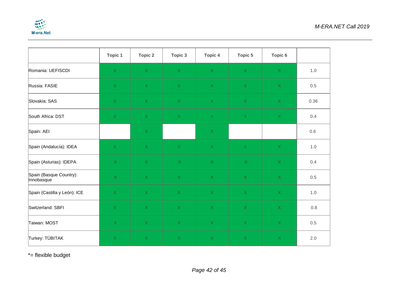

|                                       | <b>Topic 1</b>                         | <b>Topic 2</b>     | Topic 3                                | <b>Topic 4</b>                         | Topic 5                                | Topic 6            |         |
|---------------------------------------|----------------------------------------|--------------------|----------------------------------------|----------------------------------------|----------------------------------------|--------------------|---------|
| Romania: UEFISCDI                     | $\mathsf{X}$                           | $\mathsf{X}$       | $\mathsf{X}^{\scriptscriptstyle \top}$ | $\mathsf{X}^{\scriptscriptstyle \top}$ | $\mathsf{X}$                           | $\mathsf{X}$       | $1.0$   |
| Russia: FASIE                         | $\mathsf{X}$                           | $\mathsf X$        | $\bar{\mathsf{X}}$                     | $\mathsf{X}$                           | $\mathsf{X}% _{0}$                     | $\mathsf{X}$       | 0.5     |
| Slovakia: SAS                         | $\mathsf{X}^{\scriptscriptstyle \top}$ | $\mathsf X$        | $\mathsf{X}^{\scriptscriptstyle \top}$ | $\mathsf X$                            | $\mathsf X$                            | $\mathsf X$        | 0.36    |
| South Africa: DST                     | $\mathsf{X}$                           | $\mathsf X$        | $\mathsf{X}% _{0}$                     | $\mathsf{X}$                           | $\mathsf{X}$                           | $\mathsf{X}% _{0}$ | 0.4     |
| Spain: AEI                            |                                        | $\bar{\mathsf{X}}$ |                                        | $\mathsf{X}$                           |                                        |                    | 0.6     |
| Spain (Andalucía): IDEA               | $\mathsf{X}^{\scriptscriptstyle \top}$ | $\mathsf X$        | $\mathsf{X}^{\scriptscriptstyle \top}$ | $\mathsf{X}^{\scriptscriptstyle \top}$ | $\mathsf{X}$                           | X                  | 1.0     |
| Spain (Asturias): IDEPA               | $\mathsf{X}$                           | $\mathsf{X}$       | X                                      | $\mathsf{X}$                           | $\mathsf X$                            | $\mathsf{X}% _{0}$ | 0.4     |
| Spain (Basque Country):<br>Innobasque | $\mathsf{X}^{\scriptscriptstyle \top}$ | $\mathsf X$        | $\mathsf{X}$                           | $\mathsf{X}$                           | $\mathsf{X}% _{0}$                     | $\mathsf{X}$       | 0.5     |
| Spain (Castilla y León): ICE          | $\mathsf X$                            | $\mathsf X$        | $\bar{\mathsf{X}}$                     | $\mathsf X$                            | $\mathsf{X}$                           | $\mathsf{X}$       | $1.0$   |
| Switzerland: SBFI                     | $\mathsf{X}^{\scriptscriptstyle \top}$ | $\mathsf X$        | $\mathsf{X}^{\scriptscriptstyle \top}$ | $\mathsf X$                            | $\mathsf{X}^{\scriptscriptstyle \top}$ | $\mathsf X$        | $0.8\,$ |
| Taiwan: MOST                          | $\mathsf{X}$                           | $\mathsf X$        | $\mathsf X$                            | $\mathsf X$                            | $\mathsf{X}% _{0}$                     | $\mathsf{X}% _{0}$ | 0.5     |
| Turkey: TÜBITAK                       | $\mathsf{X}$                           | $\bar{\mathsf{X}}$ | $\bar{\mathsf{X}}$                     | $\mathsf X$                            | $\mathsf{X}$                           | $\mathsf X$        | 2.0     |

\*= flexible budget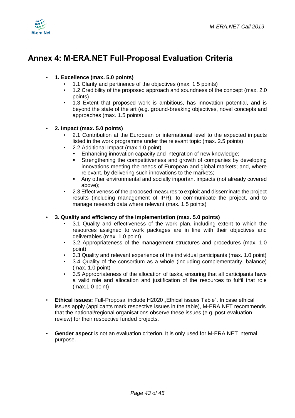



# <span id="page-42-0"></span>**Annex 4: M-ERA.NET Full-Proposal Evaluation Criteria**

#### • **1. Excellence (max. 5.0 points)**

- 1.1 Clarity and pertinence of the objectives (max. 1.5 points)
- 1.2 Credibility of the proposed approach and soundness of the concept (max. 2.0 points)
- 1.3 Extent that proposed work is ambitious, has innovation potential, and is beyond the state of the art (e.g. ground-breaking objectives, novel concepts and approaches (max. 1.5 points)

#### • **2. Impact (max. 5.0 points)**

- 2.1 Contribution at the European or international level to the expected impacts listed in the work programme under the relevant topic (max. 2.5 points)
- 2.2 Additional Impact (max 1.0 point)
	- Enhancing innovation capacity and integration of new knowledge;
	- Strengthening the competitiveness and growth of companies by developing innovations meeting the needs of European and global markets; and, where relevant, by delivering such innovations to the markets;
	- Any other environmental and socially important impacts (not already covered above);
- 2.3 Effectiveness of the proposed measures to exploit and disseminate the project results (including management of IPR), to communicate the project, and to manage research data where relevant (max. 1.5 points)

#### • **3. Quality and efficiency of the implementation (max. 5.0 points)**

- 3.1 Quality and effectiveness of the work plan, including extent to which the resources assigned to work packages are in line with their objectives and deliverables (max. 1.0 point)
- 3.2 Appropriateness of the management structures and procedures (max. 1.0 point)
- 3.3 Quality and relevant experience of the individual participants (max. 1.0 point)
- 3.4 Quality of the consortium as a whole (including complementarity, balance) (max. 1.0 point)
- 3.5 Appropriateness of the allocation of tasks, ensuring that all participants have a valid role and allocation and justification of the resources to fulfil that role (max.1.0 point)
- **Ethical issues:** Full-Proposal include H2020 "Ethical issues Table". In case ethical issues apply (applicants mark respective issues in the table), M-ERA.NET recommends that the national/regional organisations observe these issues (e.g. post-evaluation review) for their respective funded projects.
- **Gender aspect** is not an evaluation criterion. It is only used for M-ERA.NET internal purpose.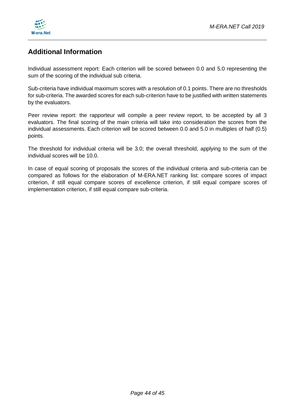

### **Additional Information**

Individual assessment report: Each criterion will be scored between 0.0 and 5.0 representing the sum of the scoring of the individual sub criteria.

Sub-criteria have individual maximum scores with a resolution of 0.1 points. There are no thresholds for sub-criteria. The awarded scores for each sub-criterion have to be justified with written statements by the evaluators.

Peer review report: the rapporteur will compile a peer review report, to be accepted by all 3 evaluators. The final scoring of the main criteria will take into consideration the scores from the individual assessments. Each criterion will be scored between 0.0 and 5.0 in multiples of half (0.5) points.

The threshold for individual criteria will be 3.0; the overall threshold, applying to the sum of the individual scores will be 10.0.

In case of equal scoring of proposals the scores of the individual criteria and sub-criteria can be compared as follows for the elaboration of M-ERA.NET ranking list: compare scores of impact criterion, if still equal compare scores of excellence criterion, if still equal compare scores of implementation criterion, if still equal compare sub-criteria.